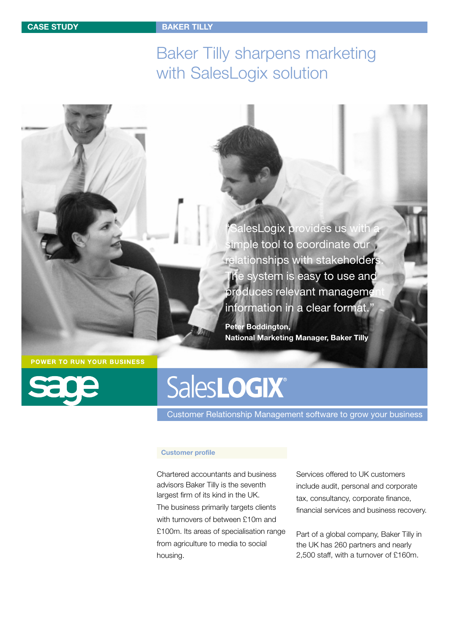## **CASE STUDY BAKER TILLY**

# Baker Tilly sharpens marketing with SalesLogix solution

simple tool to coordinate our relationships with stakeholder The system is easy to use and produces relevant manageme information in a clear format.

**'SalesLogix provides us with** 

**Peter Boddington, National Marketing Manager, Baker Tilly**

**POWER TO RUN YOUR BUSINESS** 



# **SalesLOGIX®**

Customer Relationship Management software to grow your business

#### **Customer profile**

Chartered accountants and business advisors Baker Tilly is the seventh largest firm of its kind in the UK. The business primarily targets clients with turnovers of between £10m and £100m. Its areas of specialisation range from agriculture to media to social housing.

Services offered to UK customers include audit, personal and corporate tax, consultancy, corporate finance, financial services and business recovery.

Part of a global company, Baker Tilly in the UK has 260 partners and nearly 2,500 staff, with a turnover of £160m.